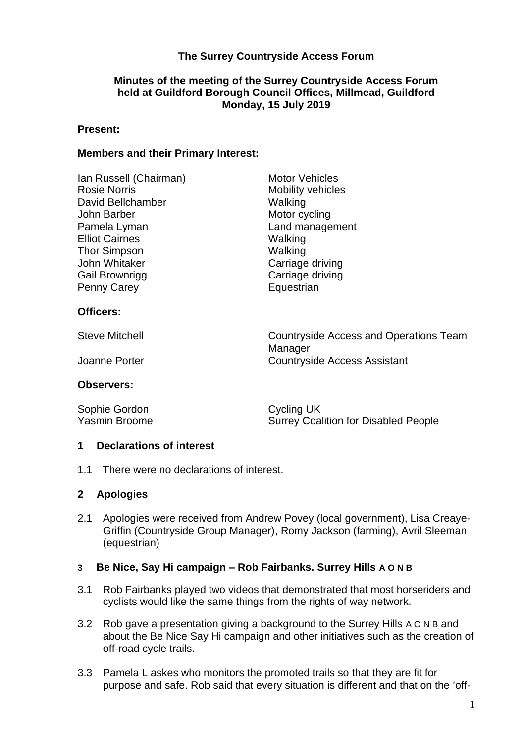# **The Surrey Countryside Access Forum**

# **Minutes of the meeting of the Surrey Countryside Access Forum held at Guildford Borough Council Offices, Millmead, Guildford Monday, 15 July 2019**

#### **Present:**

#### **Members and their Primary Interest:**

| Ian Russell (Chairman) | <b>Motor Vehicles</b>                  |
|------------------------|----------------------------------------|
| <b>Rosie Norris</b>    | <b>Mobility vehicles</b>               |
| David Bellchamber      | Walking                                |
| John Barber            | Motor cycling                          |
| Pamela Lyman           | Land management                        |
| <b>Elliot Cairnes</b>  | Walking                                |
| Thor Simpson           | Walking                                |
| John Whitaker          | Carriage driving                       |
| <b>Gail Brownrigg</b>  | Carriage driving                       |
| <b>Penny Carey</b>     | Equestrian                             |
| <b>Officers:</b>       |                                        |
| <b>Steve Mitchell</b>  | Countryside Access and Operations Team |
|                        | Manager                                |
| Joanne Porter          | <b>Countryside Access Assistant</b>    |

#### **Observers:**

| Sophie Gordon | Cycling UK                                  |
|---------------|---------------------------------------------|
| Yasmin Broome | <b>Surrey Coalition for Disabled People</b> |

#### **1 Declarations of interest**

1.1 There were no declarations of interest.

## **2 Apologies**

2.1 Apologies were received from Andrew Povey (local government), Lisa Creaye-Griffin (Countryside Group Manager), Romy Jackson (farming), Avril Sleeman (equestrian)

## **3 Be Nice, Say Hi campaign – Rob Fairbanks. Surrey Hills A O N B**

- 3.1 Rob Fairbanks played two videos that demonstrated that most horseriders and cyclists would like the same things from the rights of way network.
- 3.2 Rob gave a presentation giving a background to the Surrey Hills A O N B and about the Be Nice Say Hi campaign and other initiatives such as the creation of off-road cycle trails.
- 3.3 Pamela L askes who monitors the promoted trails so that they are fit for purpose and safe. Rob said that every situation is different and that on the 'off-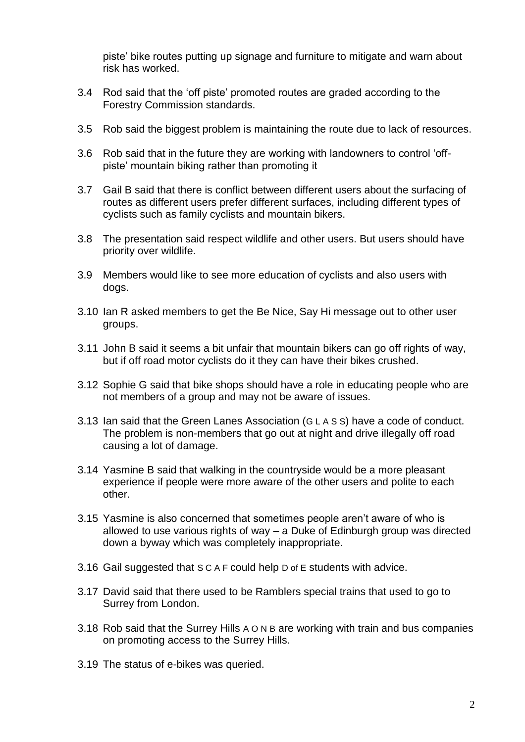piste' bike routes putting up signage and furniture to mitigate and warn about risk has worked.

- 3.4 Rod said that the 'off piste' promoted routes are graded according to the Forestry Commission standards.
- 3.5 Rob said the biggest problem is maintaining the route due to lack of resources.
- 3.6 Rob said that in the future they are working with landowners to control 'offpiste' mountain biking rather than promoting it
- 3.7 Gail B said that there is conflict between different users about the surfacing of routes as different users prefer different surfaces, including different types of cyclists such as family cyclists and mountain bikers.
- 3.8 The presentation said respect wildlife and other users. But users should have priority over wildlife.
- 3.9 Members would like to see more education of cyclists and also users with dogs.
- 3.10 Ian R asked members to get the Be Nice, Say Hi message out to other user groups.
- 3.11 John B said it seems a bit unfair that mountain bikers can go off rights of way, but if off road motor cyclists do it they can have their bikes crushed.
- 3.12 Sophie G said that bike shops should have a role in educating people who are not members of a group and may not be aware of issues.
- 3.13 Ian said that the Green Lanes Association (G L A S S) have a code of conduct. The problem is non-members that go out at night and drive illegally off road causing a lot of damage.
- 3.14 Yasmine B said that walking in the countryside would be a more pleasant experience if people were more aware of the other users and polite to each other.
- 3.15 Yasmine is also concerned that sometimes people aren't aware of who is allowed to use various rights of way – a Duke of Edinburgh group was directed down a byway which was completely inappropriate.
- 3.16 Gail suggested that S C A F could help D of E students with advice.
- 3.17 David said that there used to be Ramblers special trains that used to go to Surrey from London.
- 3.18 Rob said that the Surrey Hills A O N B are working with train and bus companies on promoting access to the Surrey Hills.
- 3.19 The status of e-bikes was queried.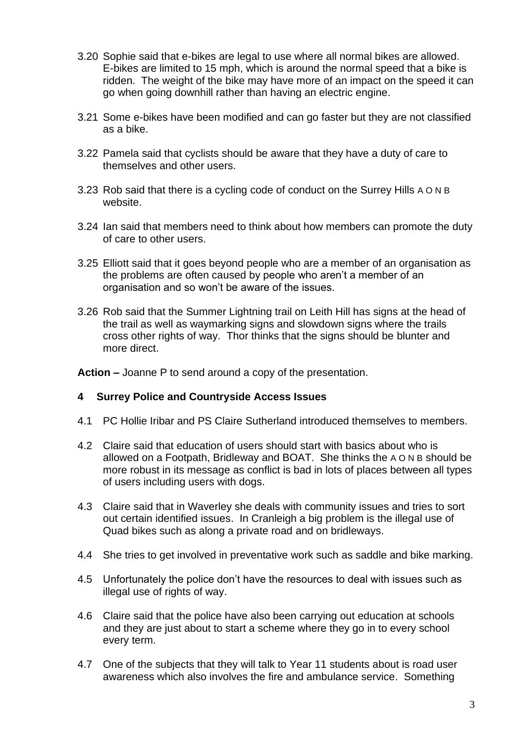- 3.20 Sophie said that e-bikes are legal to use where all normal bikes are allowed. E-bikes are limited to 15 mph, which is around the normal speed that a bike is ridden. The weight of the bike may have more of an impact on the speed it can go when going downhill rather than having an electric engine.
- 3.21 Some e-bikes have been modified and can go faster but they are not classified as a bike.
- 3.22 Pamela said that cyclists should be aware that they have a duty of care to themselves and other users.
- 3.23 Rob said that there is a cycling code of conduct on the Surrey Hills A O N B website.
- 3.24 Ian said that members need to think about how members can promote the duty of care to other users.
- 3.25 Elliott said that it goes beyond people who are a member of an organisation as the problems are often caused by people who aren't a member of an organisation and so won't be aware of the issues.
- 3.26 Rob said that the Summer Lightning trail on Leith Hill has signs at the head of the trail as well as waymarking signs and slowdown signs where the trails cross other rights of way. Thor thinks that the signs should be blunter and more direct.

**Action –** Joanne P to send around a copy of the presentation.

## **4 Surrey Police and Countryside Access Issues**

- 4.1 PC Hollie Iribar and PS Claire Sutherland introduced themselves to members.
- 4.2 Claire said that education of users should start with basics about who is allowed on a Footpath, Bridleway and BOAT. She thinks the A O N B should be more robust in its message as conflict is bad in lots of places between all types of users including users with dogs.
- 4.3 Claire said that in Waverley she deals with community issues and tries to sort out certain identified issues. In Cranleigh a big problem is the illegal use of Quad bikes such as along a private road and on bridleways.
- 4.4 She tries to get involved in preventative work such as saddle and bike marking.
- 4.5 Unfortunately the police don't have the resources to deal with issues such as illegal use of rights of way.
- 4.6 Claire said that the police have also been carrying out education at schools and they are just about to start a scheme where they go in to every school every term.
- 4.7 One of the subjects that they will talk to Year 11 students about is road user awareness which also involves the fire and ambulance service. Something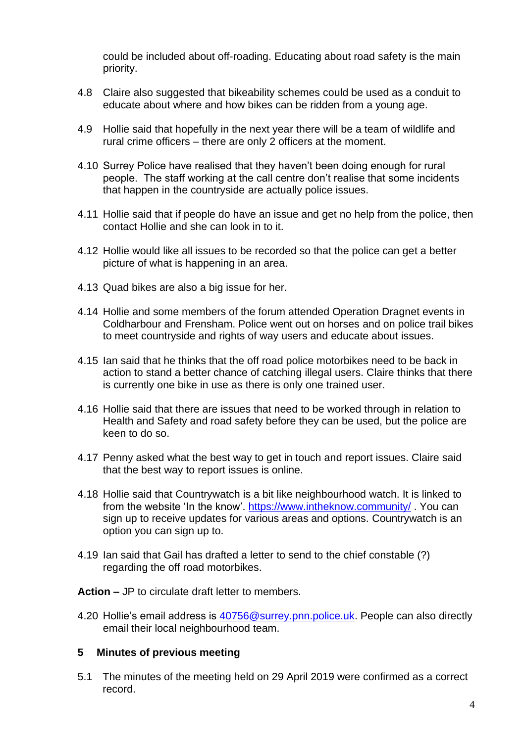could be included about off-roading. Educating about road safety is the main priority.

- 4.8 Claire also suggested that bikeability schemes could be used as a conduit to educate about where and how bikes can be ridden from a young age.
- 4.9 Hollie said that hopefully in the next year there will be a team of wildlife and rural crime officers – there are only 2 officers at the moment.
- 4.10 Surrey Police have realised that they haven't been doing enough for rural people. The staff working at the call centre don't realise that some incidents that happen in the countryside are actually police issues.
- 4.11 Hollie said that if people do have an issue and get no help from the police, then contact Hollie and she can look in to it.
- 4.12 Hollie would like all issues to be recorded so that the police can get a better picture of what is happening in an area.
- 4.13 Quad bikes are also a big issue for her.
- 4.14 Hollie and some members of the forum attended Operation Dragnet events in Coldharbour and Frensham. Police went out on horses and on police trail bikes to meet countryside and rights of way users and educate about issues.
- 4.15 Ian said that he thinks that the off road police motorbikes need to be back in action to stand a better chance of catching illegal users. Claire thinks that there is currently one bike in use as there is only one trained user.
- 4.16 Hollie said that there are issues that need to be worked through in relation to Health and Safety and road safety before they can be used, but the police are keen to do so.
- 4.17 Penny asked what the best way to get in touch and report issues. Claire said that the best way to report issues is online.
- 4.18 Hollie said that Countrywatch is a bit like neighbourhood watch. It is linked to from the website 'In the know'.<https://www.intheknow.community/> . You can sign up to receive updates for various areas and options. Countrywatch is an option you can sign up to.
- 4.19 Ian said that Gail has drafted a letter to send to the chief constable (?) regarding the off road motorbikes.

**Action –** JP to circulate draft letter to members.

4.20 Hollie's email address is [40756@surrey.pnn.police.uk.](mailto:40756@surrey.pnn.police.uk) People can also directly email their local neighbourhood team.

#### **5 Minutes of previous meeting**

5.1 The minutes of the meeting held on 29 April 2019 were confirmed as a correct record.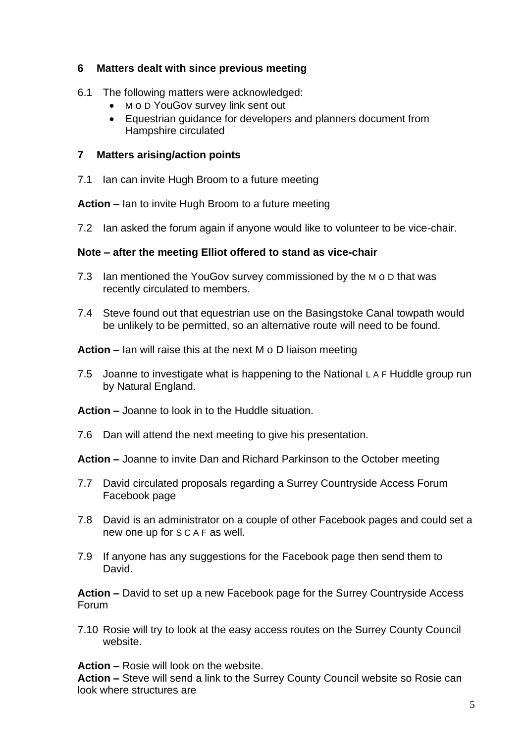# **6 Matters dealt with since previous meeting**

- 6.1 The following matters were acknowledged:
	- M o D YouGov survey link sent out
	- Equestrian guidance for developers and planners document from Hampshire circulated

# **7 Matters arising/action points**

7.1 Ian can invite Hugh Broom to a future meeting

**Action –** Ian to invite Hugh Broom to a future meeting

7.2 Ian asked the forum again if anyone would like to volunteer to be vice-chair.

# **Note – after the meeting Elliot offered to stand as vice-chair**

- 7.3 Ian mentioned the YouGov survey commissioned by the M o D that was recently circulated to members.
- 7.4 Steve found out that equestrian use on the Basingstoke Canal towpath would be unlikely to be permitted, so an alternative route will need to be found.

**Action –** Ian will raise this at the next M o D liaison meeting

7.5 Joanne to investigate what is happening to the National L A F Huddle group run by Natural England.

**Action –** Joanne to look in to the Huddle situation.

7.6 Dan will attend the next meeting to give his presentation.

**Action –** Joanne to invite Dan and Richard Parkinson to the October meeting

- 7.7 David circulated proposals regarding a Surrey Countryside Access Forum Facebook page
- 7.8 David is an administrator on a couple of other Facebook pages and could set a new one up for S C A F as well.
- 7.9 If anyone has any suggestions for the Facebook page then send them to David.

**Action –** David to set up a new Facebook page for the Surrey Countryside Access Forum

7.10 Rosie will try to look at the easy access routes on the Surrey County Council website.

**Action –** Rosie will look on the website.

**Action –** Steve will send a link to the Surrey County Council website so Rosie can look where structures are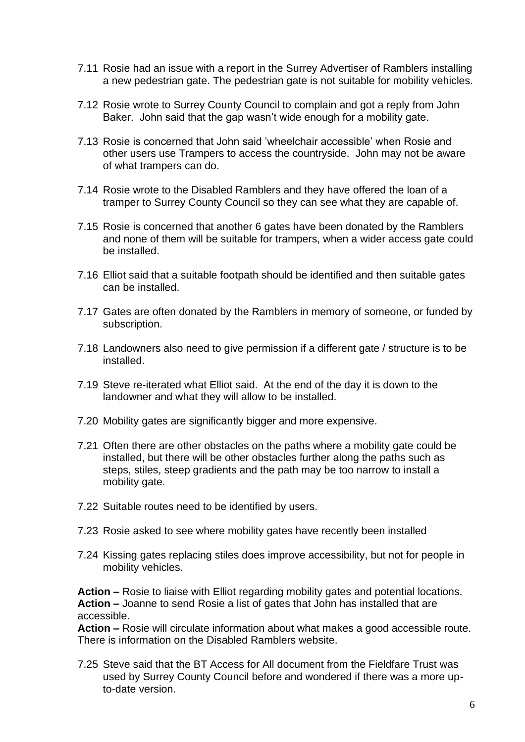- 7.11 Rosie had an issue with a report in the Surrey Advertiser of Ramblers installing a new pedestrian gate. The pedestrian gate is not suitable for mobility vehicles.
- 7.12 Rosie wrote to Surrey County Council to complain and got a reply from John Baker. John said that the gap wasn't wide enough for a mobility gate.
- 7.13 Rosie is concerned that John said 'wheelchair accessible' when Rosie and other users use Trampers to access the countryside. John may not be aware of what trampers can do.
- 7.14 Rosie wrote to the Disabled Ramblers and they have offered the loan of a tramper to Surrey County Council so they can see what they are capable of.
- 7.15 Rosie is concerned that another 6 gates have been donated by the Ramblers and none of them will be suitable for trampers, when a wider access gate could be installed.
- 7.16 Elliot said that a suitable footpath should be identified and then suitable gates can be installed.
- 7.17 Gates are often donated by the Ramblers in memory of someone, or funded by subscription.
- 7.18 Landowners also need to give permission if a different gate / structure is to be installed.
- 7.19 Steve re-iterated what Elliot said. At the end of the day it is down to the landowner and what they will allow to be installed.
- 7.20 Mobility gates are significantly bigger and more expensive.
- 7.21 Often there are other obstacles on the paths where a mobility gate could be installed, but there will be other obstacles further along the paths such as steps, stiles, steep gradients and the path may be too narrow to install a mobility gate.
- 7.22 Suitable routes need to be identified by users.
- 7.23 Rosie asked to see where mobility gates have recently been installed
- 7.24 Kissing gates replacing stiles does improve accessibility, but not for people in mobility vehicles.

**Action –** Rosie to liaise with Elliot regarding mobility gates and potential locations. **Action –** Joanne to send Rosie a list of gates that John has installed that are accessible.

**Action –** Rosie will circulate information about what makes a good accessible route. There is information on the Disabled Ramblers website.

7.25 Steve said that the BT Access for All document from the Fieldfare Trust was used by Surrey County Council before and wondered if there was a more upto-date version.